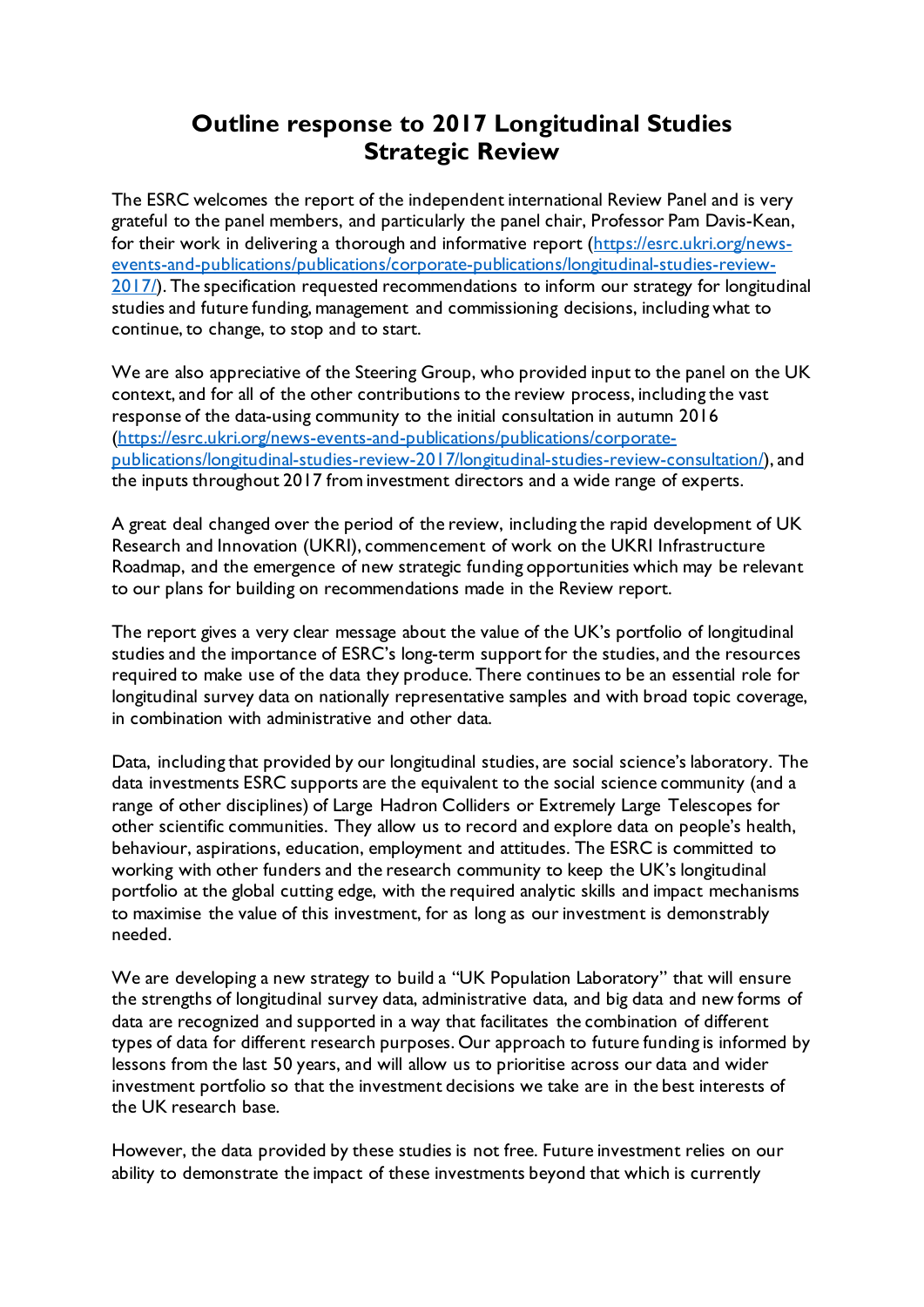## **Outline response to 2017 Longitudinal Studies Strategic Review**

The ESRC welcomes the report of the independent international Review Panel and is very grateful to the panel members, and particularly the panel chair, Professor Pam Davis-Kean, for their work in delivering a thorough and informative report [\(https://esrc.ukri.org/news](https://esrc.ukri.org/news-events-and-publications/publications/corporate-publications/longitudinal-studies-review-2017/)[events-and-publications/publications/corporate-publications/longitudinal-studies-review-](https://esrc.ukri.org/news-events-and-publications/publications/corporate-publications/longitudinal-studies-review-2017/)[2017/\)](https://esrc.ukri.org/news-events-and-publications/publications/corporate-publications/longitudinal-studies-review-2017/). The specification requested recommendations to inform our strategy for longitudinal studies and future funding, management and commissioning decisions, including what to continue, to change, to stop and to start.

We are also appreciative of the Steering Group, who provided input to the panel on the UK context, and for all of the other contributions to the review process, including the vast response of the data-using community to the initial consultation in autumn 2016 [\(https://esrc.ukri.org/news-events-and-publications/publications/corporate](https://esrc.ukri.org/news-events-and-publications/publications/corporate-publications/longitudinal-studies-review-2017/longitudinal-studies-review-consultation/)[publications/longitudinal-studies-review-2017/longitudinal-studies-review-consultation/\)](https://esrc.ukri.org/news-events-and-publications/publications/corporate-publications/longitudinal-studies-review-2017/longitudinal-studies-review-consultation/), and the inputs throughout 2017 from investment directors and a wide range of experts.

A great deal changed over the period of the review, including the rapid development of UK Research and Innovation (UKRI), commencement of work on the UKRI Infrastructure Roadmap, and the emergence of new strategic funding opportunities which may be relevant to our plans for building on recommendations made in the Review report.

The report gives a very clear message about the value of the UK's portfolio of longitudinal studies and the importance of ESRC's long-term support for the studies, and the resources required to make use of the data they produce. There continues to be an essential role for longitudinal survey data on nationally representative samples and with broad topic coverage, in combination with administrative and other data.

Data, including that provided by our longitudinal studies, are social science's laboratory. The data investments ESRC supports are the equivalent to the social science community (and a range of other disciplines) of Large Hadron Colliders or Extremely Large Telescopes for other scientific communities. They allow us to record and explore data on people's health, behaviour, aspirations, education, employment and attitudes. The ESRC is committed to working with other funders and the research community to keep the UK's longitudinal portfolio at the global cutting edge, with the required analytic skills and impact mechanisms to maximise the value of this investment, for as long as our investment is demonstrably needed.

We are developing a new strategy to build a "UK Population Laboratory" that will ensure the strengths of longitudinal survey data, administrative data, and big data and new forms of data are recognized and supported in a way that facilitates the combination of different types of data for different research purposes. Our approach to future funding is informed by lessons from the last 50 years, and will allow us to prioritise across our data and wider investment portfolio so that the investment decisions we take are in the best interests of the UK research base.

However, the data provided by these studies is not free. Future investment relies on our ability to demonstrate the impact of these investments beyond that which is currently